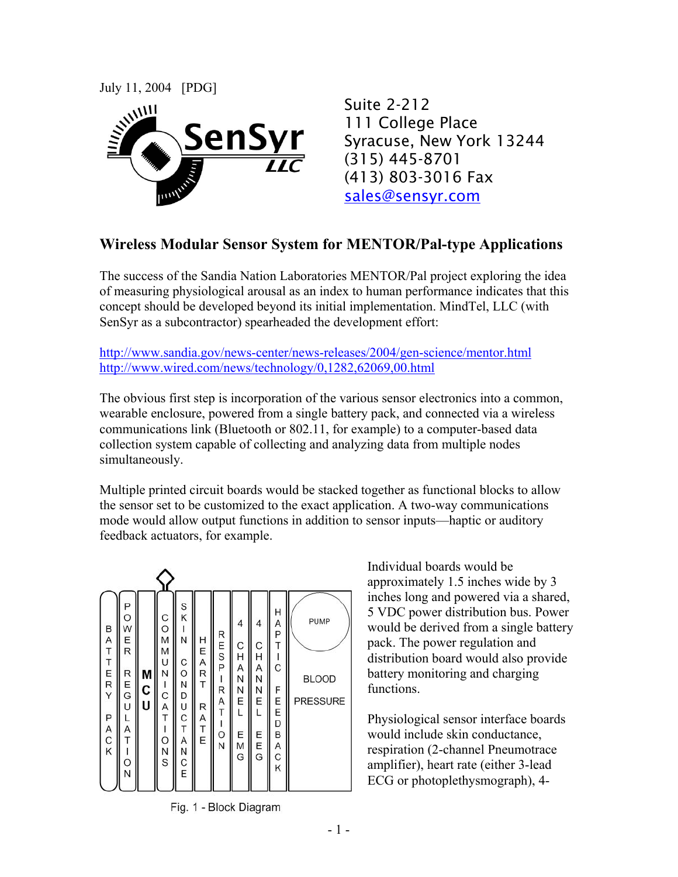

Suite 2-212 111 College Place Syracuse, New York 13244 (315) 445-8701 (413) 803-3016 Fax sales@sensyr.com

## **Wireless Modular Sensor System for MENTOR/Pal-type Applications**

The success of the Sandia Nation Laboratories MENTOR/Pal project exploring the idea of measuring physiological arousal as an index to human performance indicates that this concept should be developed beyond its initial implementation. MindTel, LLC (with SenSyr as a subcontractor) spearheaded the development effort:

http://www.sandia.gov/news-center/news-releases/2004/gen-science/mentor.html http://www.wired.com/news/technology/0,1282,62069,00.html

The obvious first step is incorporation of the various sensor electronics into a common, wearable enclosure, powered from a single battery pack, and connected via a wireless communications link (Bluetooth or 802.11, for example) to a computer-based data collection system capable of collecting and analyzing data from multiple nodes simultaneously.

Multiple printed circuit boards would be stacked together as functional blocks to allow the sensor set to be customized to the exact application. A two-way communications mode would allow output functions in addition to sensor inputs—haptic or auditory feedback actuators, for example.

| B<br>A<br>T<br>T<br>E<br>R<br>Y<br>Ρ<br>A<br>C<br>K | Ρ<br>O<br>W<br>Ε<br>R<br>R<br>E<br>G<br>U<br>Α<br>O<br>N | M<br>C<br>U | C<br>$\circ$<br>M<br>M<br>U<br>Ν<br>ı<br>C<br>A<br>T<br>ı<br>O<br>N<br>S | S<br>K<br>N<br>C<br>$\circ$<br>N<br>D<br>U<br>C<br>T<br>A<br>N<br>C<br>E | H E A R<br>T<br>R A T E | RESP<br>I<br>R<br>A<br>T<br>I<br>$\frac{0}{N}$ | 4<br>С<br>H<br>Α<br>N<br>N<br>E<br>Ε<br>M<br>G | 4<br>С<br>н<br>Α<br>Ν<br>Ν<br>Ε<br>L<br>E<br>E<br>G | Η<br>A<br>P<br>T<br>C<br>F<br>Ε<br>E<br>D<br>B<br>A<br>C<br>K | PUMP<br><b>BLOOD</b><br><b>PRESSURE</b> |
|-----------------------------------------------------|----------------------------------------------------------|-------------|--------------------------------------------------------------------------|--------------------------------------------------------------------------|-------------------------|------------------------------------------------|------------------------------------------------|-----------------------------------------------------|---------------------------------------------------------------|-----------------------------------------|

Fig. 1 - Block Diagram

Individual boards would be approximately 1.5 inches wide by 3 inches long and powered via a shared, 5 VDC power distribution bus. Power would be derived from a single battery pack. The power regulation and distribution board would also provide battery monitoring and charging functions.

Physiological sensor interface boards would include skin conductance, respiration (2-channel Pneumotrace amplifier), heart rate (either 3-lead ECG or photoplethysmograph), 4